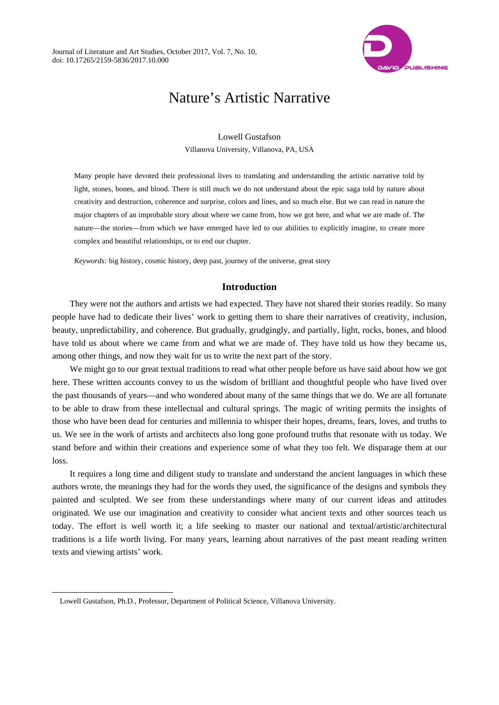

# Nature's Artistic Narrative

Lowell Gustafson

Villanova University, Villanova, PA, USA

Many people have devoted their professional lives to translating and understanding the artistic narrative told by light, stones, bones, and blood. There is still much we do not understand about the epic saga told by nature about creativity and destruction, coherence and surprise, colors and lines, and so much else. But we can read in nature the major chapters of an improbable story about where we came from, how we got here, and what we are made of. The nature—the stories—from which we have emerged have led to our abilities to explicitly imagine, to create more complex and beautiful relationships, or to end our chapter.

*Keywords:* big history, cosmic history, deep past, journey of the universe, great story

# **Introduction**

They were not the authors and artists we had expected. They have not shared their stories readily. So many people have had to dedicate their lives' work to getting them to share their narratives of creativity, inclusion, beauty, unpredictability, and coherence. But gradually, grudgingly, and partially, light, rocks, bones, and blood have told us about where we came from and what we are made of. They have told us how they became us, among other things, and now they wait for us to write the next part of the story.

We might go to our great textual traditions to read what other people before us have said about how we got here. These written accounts convey to us the wisdom of brilliant and thoughtful people who have lived over the past thousands of years—and who wondered about many of the same things that we do. We are all fortunate to be able to draw from these intellectual and cultural springs. The magic of writing permits the insights of those who have been dead for centuries and millennia to whisper their hopes, dreams, fears, loves, and truths to us. We see in the work of artists and architects also long gone profound truths that resonate with us today. We stand before and within their creations and experience some of what they too felt. We disparage them at our loss.

It requires a long time and diligent study to translate and understand the ancient languages in which these authors wrote, the meanings they had for the words they used, the significance of the designs and symbols they painted and sculpted. We see from these understandings where many of our current ideas and attitudes originated. We use our imagination and creativity to consider what ancient texts and other sources teach us today. The effort is well worth it; a life seeking to master our national and textual/artistic/architectural traditions is a life worth living. For many years, learning about narratives of the past meant reading written texts and viewing artists' work.

Lowell Gustafson, Ph.D., Professor, Department of Political Science, Villanova University.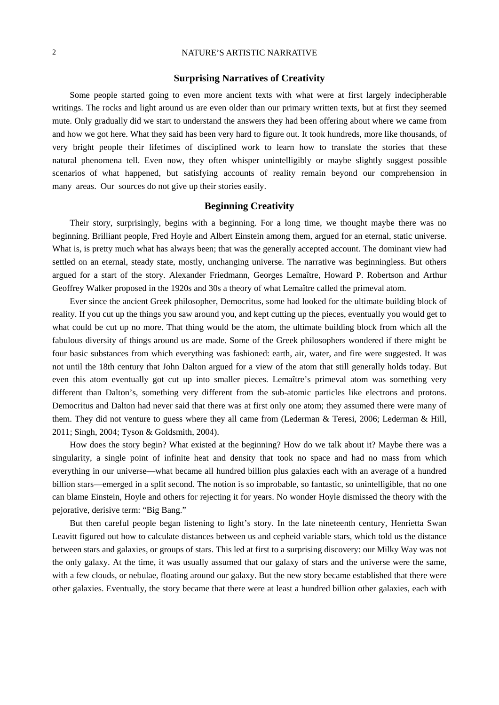#### **Surprising Narratives of Creativity**

Some people started going to even more ancient texts with what were at first largely indecipherable writings. The rocks and light around us are even older than our primary written texts, but at first they seemed mute. Only gradually did we start to understand the answers they had been offering about where we came from and how we got here. What they said has been very hard to figure out. It took hundreds, more like thousands, of very bright people their lifetimes of disciplined work to learn how to translate the stories that these natural phenomena tell. Even now, they often whisper unintelligibly or maybe slightly suggest possible scenarios of what happened, but satisfying accounts of reality remain beyond our comprehension in many areas. Our sources do not give up their stories easily.

#### **Beginning Creativity**

Their story, surprisingly, begins with a beginning. For a long time, we thought maybe there was no beginning. Brilliant people, Fred Hoyle and Albert Einstein among them, argued for an eternal, static universe. What is, is pretty much what has always been; that was the generally accepted account. The dominant view had settled on an eternal, steady state, mostly, unchanging universe. The narrative was beginningless. But others argued for a start of the story. Alexander Friedmann, Georges Lemaître, Howard P. Robertson and Arthur Geoffrey Walker proposed in the 1920s and 30s a theory of what Lemaître called the primeval atom.

Ever since the ancient Greek philosopher, Democritus, some had looked for the ultimate building block of reality. If you cut up the things you saw around you, and kept cutting up the pieces, eventually you would get to what could be cut up no more. That thing would be the atom, the ultimate building block from which all the fabulous diversity of things around us are made. Some of the Greek philosophers wondered if there might be four basic substances from which everything was fashioned: earth, air, water, and fire were suggested. It was not until the 18th century that John Dalton argued for a view of the atom that still generally holds today. But even this atom eventually got cut up into smaller pieces. Lemaître's primeval atom was something very different than Dalton's, something very different from the sub-atomic particles like electrons and protons. Democritus and Dalton had never said that there was at first only one atom; they assumed there were many of them. They did not venture to guess where they all came from (Lederman & Teresi, 2006; Lederman & Hill, 2011; Singh, 2004; Tyson & Goldsmith, 2004).

How does the story begin? What existed at the beginning? How do we talk about it? Maybe there was a singularity, a single point of infinite heat and density that took no space and had no mass from which everything in our universe—what became all hundred billion plus galaxies each with an average of a hundred billion stars—emerged in a split second. The notion is so improbable, so fantastic, so unintelligible, that no one can blame Einstein, Hoyle and others for rejecting it for years. No wonder Hoyle dismissed the theory with the pejorative, derisive term: "Big Bang."

But then careful people began listening to light's story. In the late nineteenth century, Henrietta Swan Leavitt figured out how to calculate distances between us and cepheid variable stars, which told us the distance between stars and galaxies, or groups of stars. This led at first to a surprising discovery: our Milky Way was not the only galaxy. At the time, it was usually assumed that our galaxy of stars and the universe were the same, with a few clouds, or nebulae, floating around our galaxy. But the new story became established that there were other galaxies. Eventually, the story became that there were at least a hundred billion other galaxies, each with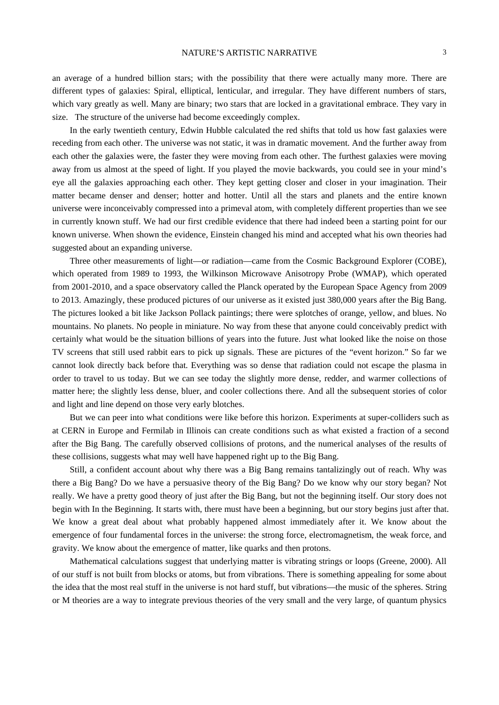an average of a hundred billion stars; with the possibility that there were actually many more. There are different types of galaxies: Spiral, elliptical, lenticular, and irregular. They have different numbers of stars, which vary greatly as well. Many are binary; two stars that are locked in a gravitational embrace. They vary in size. The structure of the universe had become exceedingly complex.

In the early twentieth century, Edwin Hubble calculated the red shifts that told us how fast galaxies were receding from each other. The universe was not static, it was in dramatic movement. And the further away from each other the galaxies were, the faster they were moving from each other. The furthest galaxies were moving away from us almost at the speed of light. If you played the movie backwards, you could see in your mind's eye all the galaxies approaching each other. They kept getting closer and closer in your imagination. Their matter became denser and denser; hotter and hotter. Until all the stars and planets and the entire known universe were inconceivably compressed into a primeval atom, with completely different properties than we see in currently known stuff. We had our first credible evidence that there had indeed been a starting point for our known universe. When shown the evidence, Einstein changed his mind and accepted what his own theories had suggested about an expanding universe.

Three other measurements of light—or radiation—came from the Cosmic Background Explorer (COBE), which operated from 1989 to 1993, the Wilkinson Microwave Anisotropy Probe (WMAP), which operated from 2001-2010, and a space observatory called the Planck operated by the European Space Agency from 2009 to 2013. Amazingly, these produced pictures of our universe as it existed just 380,000 years after the Big Bang. The pictures looked a bit like Jackson Pollack paintings; there were splotches of orange, yellow, and blues. No mountains. No planets. No people in miniature. No way from these that anyone could conceivably predict with certainly what would be the situation billions of years into the future. Just what looked like the noise on those TV screens that still used rabbit ears to pick up signals. These are pictures of the "event horizon." So far we cannot look directly back before that. Everything was so dense that radiation could not escape the plasma in order to travel to us today. But we can see today the slightly more dense, redder, and warmer collections of matter here; the slightly less dense, bluer, and cooler collections there. And all the subsequent stories of color and light and line depend on those very early blotches.

But we can peer into what conditions were like before this horizon. Experiments at super-colliders such as at CERN in Europe and Fermilab in Illinois can create conditions such as what existed a fraction of a second after the Big Bang. The carefully observed collisions of protons, and the numerical analyses of the results of these collisions, suggests what may well have happened right up to the Big Bang.

Still, a confident account about why there was a Big Bang remains tantalizingly out of reach. Why was there a Big Bang? Do we have a persuasive theory of the Big Bang? Do we know why our story began? Not really. We have a pretty good theory of just after the Big Bang, but not the beginning itself. Our story does not begin with In the Beginning. It starts with, there must have been a beginning, but our story begins just after that. We know a great deal about what probably happened almost immediately after it. We know about the emergence of four fundamental forces in the universe: the strong force, electromagnetism, the weak force, and gravity. We know about the emergence of matter, like quarks and then protons.

Mathematical calculations suggest that underlying matter is vibrating strings or loops (Greene, 2000). All of our stuff is not built from blocks or atoms, but from vibrations. There is something appealing for some about the idea that the most real stuff in the universe is not hard stuff, but vibrations—the music of the spheres. String or M theories are a way to integrate previous theories of the very small and the very large, of quantum physics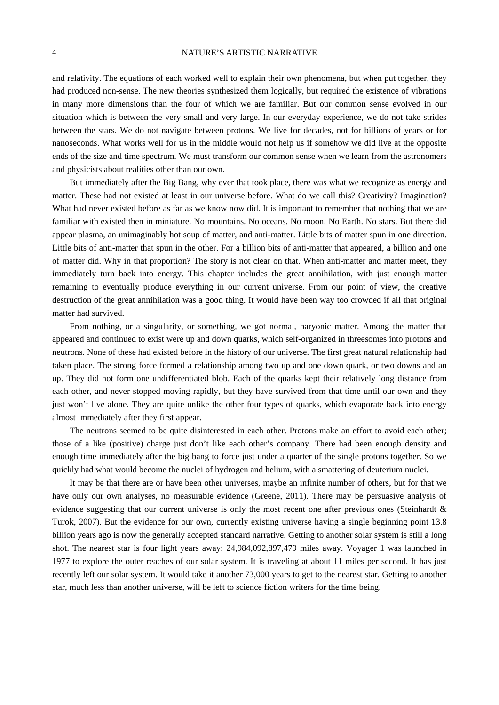and relativity. The equations of each worked well to explain their own phenomena, but when put together, they had produced non-sense. The new theories synthesized them logically, but required the existence of vibrations in many more dimensions than the four of which we are familiar. But our common sense evolved in our situation which is between the very small and very large. In our everyday experience, we do not take strides between the stars. We do not navigate between protons. We live for decades, not for billions of years or for nanoseconds. What works well for us in the middle would not help us if somehow we did live at the opposite ends of the size and time spectrum. We must transform our common sense when we learn from the astronomers and physicists about realities other than our own.

But immediately after the Big Bang, why ever that took place, there was what we recognize as energy and matter. These had not existed at least in our universe before. What do we call this? Creativity? Imagination? What had never existed before as far as we know now did. It is important to remember that nothing that we are familiar with existed then in miniature. No mountains. No oceans. No moon. No Earth. No stars. But there did appear plasma, an unimaginably hot soup of matter, and anti-matter. Little bits of matter spun in one direction. Little bits of anti-matter that spun in the other. For a billion bits of anti-matter that appeared, a billion and one of matter did. Why in that proportion? The story is not clear on that. When anti-matter and matter meet, they immediately turn back into energy. This chapter includes the great annihilation, with just enough matter remaining to eventually produce everything in our current universe. From our point of view, the creative destruction of the great annihilation was a good thing. It would have been way too crowded if all that original matter had survived.

From nothing, or a singularity, or something, we got normal, baryonic matter. Among the matter that appeared and continued to exist were up and down quarks, which self-organized in threesomes into protons and neutrons. None of these had existed before in the history of our universe. The first great natural relationship had taken place. The strong force formed a relationship among two up and one down quark, or two downs and an up. They did not form one undifferentiated blob. Each of the quarks kept their relatively long distance from each other, and never stopped moving rapidly, but they have survived from that time until our own and they just won't live alone. They are quite unlike the other four types of quarks, which evaporate back into energy almost immediately after they first appear.

The neutrons seemed to be quite disinterested in each other. Protons make an effort to avoid each other; those of a like (positive) charge just don't like each other's company. There had been enough density and enough time immediately after the big bang to force just under a quarter of the single protons together. So we quickly had what would become the nuclei of hydrogen and helium, with a smattering of deuterium nuclei.

It may be that there are or have been other universes, maybe an infinite number of others, but for that we have only our own analyses, no measurable evidence (Greene, 2011). There may be persuasive analysis of evidence suggesting that our current universe is only the most recent one after previous ones (Steinhardt & Turok, 2007). But the evidence for our own, currently existing universe having a single beginning point 13.8 billion years ago is now the generally accepted standard narrative. Getting to another solar system is still a long shot. The nearest star is four light years away: 24,984,092,897,479 miles away. Voyager 1 was launched in 1977 to explore the outer reaches of our solar system. It is traveling at about 11 miles per second. It has just recently left our solar system. It would take it another 73,000 years to get to the nearest star. Getting to another star, much less than another universe, will be left to science fiction writers for the time being.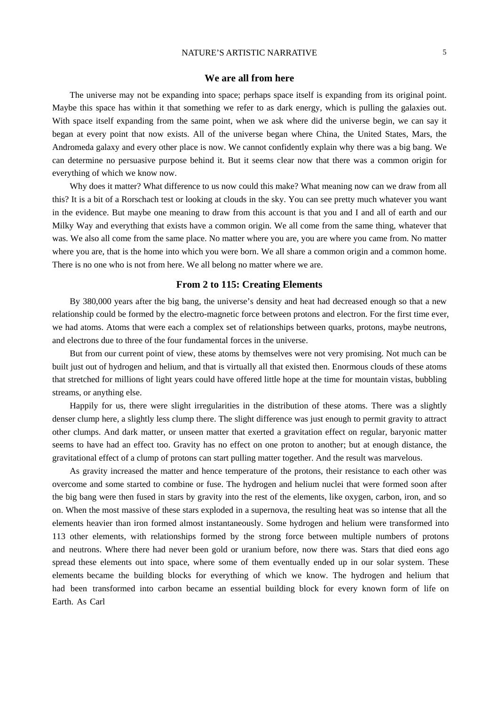#### **We are all from here**

The universe may not be expanding into space; perhaps space itself is expanding from its original point. Maybe this space has within it that something we refer to as dark energy, which is pulling the galaxies out. With space itself expanding from the same point, when we ask where did the universe begin, we can say it began at every point that now exists. All of the universe began where China, the United States, Mars, the Andromeda galaxy and every other place is now. We cannot confidently explain why there was a big bang. We can determine no persuasive purpose behind it. But it seems clear now that there was a common origin for everything of which we know now.

Why does it matter? What difference to us now could this make? What meaning now can we draw from all this? It is a bit of a Rorschach test or looking at clouds in the sky. You can see pretty much whatever you want in the evidence. But maybe one meaning to draw from this account is that you and I and all of earth and our Milky Way and everything that exists have a common origin. We all come from the same thing, whatever that was. We also all come from the same place. No matter where you are, you are where you came from. No matter where you are, that is the home into which you were born. We all share a common origin and a common home. There is no one who is not from here. We all belong no matter where we are.

#### **From 2 to 115: Creating Elements**

By 380,000 years after the big bang, the universe's density and heat had decreased enough so that a new relationship could be formed by the electro-magnetic force between protons and electron. For the first time ever, we had atoms. Atoms that were each a complex set of relationships between quarks, protons, maybe neutrons, and electrons due to three of the four fundamental forces in the universe.

But from our current point of view, these atoms by themselves were not very promising. Not much can be built just out of hydrogen and helium, and that is virtually all that existed then. Enormous clouds of these atoms that stretched for millions of light years could have offered little hope at the time for mountain vistas, bubbling streams, or anything else.

Happily for us, there were slight irregularities in the distribution of these atoms. There was a slightly denser clump here, a slightly less clump there. The slight difference was just enough to permit gravity to attract other clumps. And dark matter, or unseen matter that exerted a gravitation effect on regular, baryonic matter seems to have had an effect too. Gravity has no effect on one proton to another; but at enough distance, the gravitational effect of a clump of protons can start pulling matter together. And the result was marvelous.

As gravity increased the matter and hence temperature of the protons, their resistance to each other was overcome and some started to combine or fuse. The hydrogen and helium nuclei that were formed soon after the big bang were then fused in stars by gravity into the rest of the elements, like oxygen, carbon, iron, and so on. When the most massive of these stars exploded in a supernova, the resulting heat was so intense that all the elements heavier than iron formed almost instantaneously. Some hydrogen and helium were transformed into 113 other elements, with relationships formed by the strong force between multiple numbers of protons and neutrons. Where there had never been gold or uranium before, now there was. Stars that died eons ago spread these elements out into space, where some of them eventually ended up in our solar system. These elements became the building blocks for everything of which we know. The hydrogen and helium that had been transformed into carbon became an essential building block for every known form of life on Earth. As Carl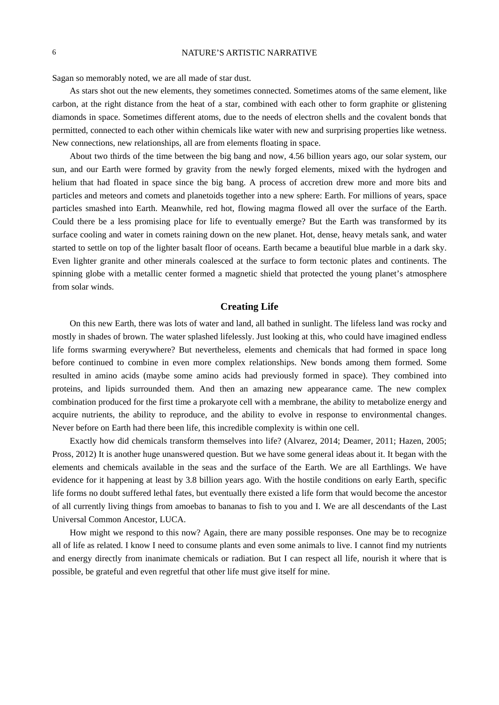Sagan so memorably noted, we are all made of star dust.

As stars shot out the new elements, they sometimes connected. Sometimes atoms of the same element, like carbon, at the right distance from the heat of a star, combined with each other to form graphite or glistening diamonds in space. Sometimes different atoms, due to the needs of electron shells and the covalent bonds that permitted, connected to each other within chemicals like water with new and surprising properties like wetness. New connections, new relationships, all are from elements floating in space.

About two thirds of the time between the big bang and now, 4.56 billion years ago, our solar system, our sun, and our Earth were formed by gravity from the newly forged elements, mixed with the hydrogen and helium that had floated in space since the big bang. A process of accretion drew more and more bits and particles and meteors and comets and planetoids together into a new sphere: Earth. For millions of years, space particles smashed into Earth. Meanwhile, red hot, flowing magma flowed all over the surface of the Earth. Could there be a less promising place for life to eventually emerge? But the Earth was transformed by its surface cooling and water in comets raining down on the new planet. Hot, dense, heavy metals sank, and water started to settle on top of the lighter basalt floor of oceans. Earth became a beautiful blue marble in a dark sky. Even lighter granite and other minerals coalesced at the surface to form tectonic plates and continents. The spinning globe with a metallic center formed a magnetic shield that protected the young planet's atmosphere from solar winds.

# **Creating Life**

On this new Earth, there was lots of water and land, all bathed in sunlight. The lifeless land was rocky and mostly in shades of brown. The water splashed lifelessly. Just looking at this, who could have imagined endless life forms swarming everywhere? But nevertheless, elements and chemicals that had formed in space long before continued to combine in even more complex relationships. New bonds among them formed. Some resulted in amino acids (maybe some amino acids had previously formed in space). They combined into proteins, and lipids surrounded them. And then an amazing new appearance came. The new complex combination produced for the first time a prokaryote cell with a membrane, the ability to metabolize energy and acquire nutrients, the ability to reproduce, and the ability to evolve in response to environmental changes. Never before on Earth had there been life, this incredible complexity is within one cell.

Exactly how did chemicals transform themselves into life? (Alvarez, 2014; Deamer, 2011; Hazen, 2005; Pross, 2012) It is another huge unanswered question. But we have some general ideas about it. It began with the elements and chemicals available in the seas and the surface of the Earth. We are all Earthlings. We have evidence for it happening at least by 3.8 billion years ago. With the hostile conditions on early Earth, specific life forms no doubt suffered lethal fates, but eventually there existed a life form that would become the ancestor of all currently living things from amoebas to bananas to fish to you and I. We are all descendants of the Last Universal Common Ancestor, LUCA.

How might we respond to this now? Again, there are many possible responses. One may be to recognize all of life as related. I know I need to consume plants and even some animals to live. I cannot find my nutrients and energy directly from inanimate chemicals or radiation. But I can respect all life, nourish it where that is possible, be grateful and even regretful that other life must give itself for mine.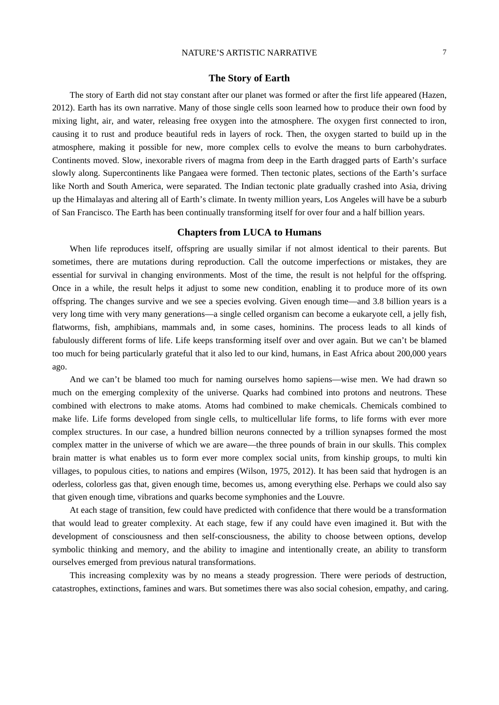#### **The Story of Earth**

The story of Earth did not stay constant after our planet was formed or after the first life appeared (Hazen, 2012). Earth has its own narrative. Many of those single cells soon learned how to produce their own food by mixing light, air, and water, releasing free oxygen into the atmosphere. The oxygen first connected to iron, causing it to rust and produce beautiful reds in layers of rock. Then, the oxygen started to build up in the atmosphere, making it possible for new, more complex cells to evolve the means to burn carbohydrates. Continents moved. Slow, inexorable rivers of magma from deep in the Earth dragged parts of Earth's surface slowly along. Supercontinents like Pangaea were formed. Then tectonic plates, sections of the Earth's surface like North and South America, were separated. The Indian tectonic plate gradually crashed into Asia, driving up the Himalayas and altering all of Earth's climate. In twenty million years, Los Angeles will have be a suburb of San Francisco. The Earth has been continually transforming itself for over four and a half billion years.

#### **Chapters from LUCA to Humans**

When life reproduces itself, offspring are usually similar if not almost identical to their parents. But sometimes, there are mutations during reproduction. Call the outcome imperfections or mistakes, they are essential for survival in changing environments. Most of the time, the result is not helpful for the offspring. Once in a while, the result helps it adjust to some new condition, enabling it to produce more of its own offspring. The changes survive and we see a species evolving. Given enough time—and 3.8 billion years is a very long time with very many generations—a single celled organism can become a eukaryote cell, a jelly fish, flatworms, fish, amphibians, mammals and, in some cases, hominins. The process leads to all kinds of fabulously different forms of life. Life keeps transforming itself over and over again. But we can't be blamed too much for being particularly grateful that it also led to our kind, humans, in East Africa about 200,000 years ago.

And we can't be blamed too much for naming ourselves homo sapiens—wise men. We had drawn so much on the emerging complexity of the universe. Quarks had combined into protons and neutrons. These combined with electrons to make atoms. Atoms had combined to make chemicals. Chemicals combined to make life. Life forms developed from single cells, to multicellular life forms, to life forms with ever more complex structures. In our case, a hundred billion neurons connected by a trillion synapses formed the most complex matter in the universe of which we are aware—the three pounds of brain in our skulls. This complex brain matter is what enables us to form ever more complex social units, from kinship groups, to multi kin villages, to populous cities, to nations and empires (Wilson, 1975, 2012). It has been said that hydrogen is an oderless, colorless gas that, given enough time, becomes us, among everything else. Perhaps we could also say that given enough time, vibrations and quarks become symphonies and the Louvre.

At each stage of transition, few could have predicted with confidence that there would be a transformation that would lead to greater complexity. At each stage, few if any could have even imagined it. But with the development of consciousness and then self-consciousness, the ability to choose between options, develop symbolic thinking and memory, and the ability to imagine and intentionally create, an ability to transform ourselves emerged from previous natural transformations.

This increasing complexity was by no means a steady progression. There were periods of destruction, catastrophes, extinctions, famines and wars. But sometimes there was also social cohesion, empathy, and caring.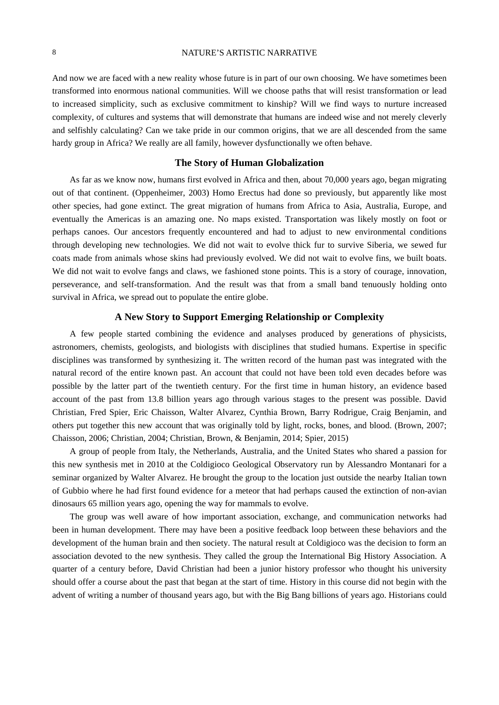And now we are faced with a new reality whose future is in part of our own choosing. We have sometimes been transformed into enormous national communities. Will we choose paths that will resist transformation or lead to increased simplicity, such as exclusive commitment to kinship? Will we find ways to nurture increased complexity, of cultures and systems that will demonstrate that humans are indeed wise and not merely cleverly and selfishly calculating? Can we take pride in our common origins, that we are all descended from the same hardy group in Africa? We really are all family, however dysfunctionally we often behave.

# **The Story of Human Globalization**

As far as we know now, humans first evolved in Africa and then, about 70,000 years ago, began migrating out of that continent. (Oppenheimer, 2003) Homo Erectus had done so previously, but apparently like most other species, had gone extinct. The great migration of humans from Africa to Asia, Australia, Europe, and eventually the Americas is an amazing one. No maps existed. Transportation was likely mostly on foot or perhaps canoes. Our ancestors frequently encountered and had to adjust to new environmental conditions through developing new technologies. We did not wait to evolve thick fur to survive Siberia, we sewed fur coats made from animals whose skins had previously evolved. We did not wait to evolve fins, we built boats. We did not wait to evolve fangs and claws, we fashioned stone points. This is a story of courage, innovation, perseverance, and self-transformation. And the result was that from a small band tenuously holding onto survival in Africa, we spread out to populate the entire globe.

# **A New Story to Support Emerging Relationship or Complexity**

A few people started combining the evidence and analyses produced by generations of physicists, astronomers, chemists, geologists, and biologists with disciplines that studied humans. Expertise in specific disciplines was transformed by synthesizing it. The written record of the human past was integrated with the natural record of the entire known past. An account that could not have been told even decades before was possible by the latter part of the twentieth century. For the first time in human history, an evidence based account of the past from 13.8 billion years ago through various stages to the present was possible. David Christian, Fred Spier, Eric Chaisson, Walter Alvarez, Cynthia Brown, Barry Rodrigue, Craig Benjamin, and others put together this new account that was originally told by light, rocks, bones, and blood. (Brown, 2007; Chaisson, 2006; Christian, 2004; Christian, Brown, & Benjamin, 2014; Spier, 2015)

A group of people from Italy, the Netherlands, Australia, and the United States who shared a passion for this new synthesis met in 2010 at the Coldigioco Geological Observatory run by Alessandro Montanari for a seminar organized by Walter Alvarez. He brought the group to the location just outside the nearby Italian town of Gubbio where he had first found evidence for a meteor that had perhaps caused the extinction of non-avian dinosaurs 65 million years ago, opening the way for mammals to evolve.

The group was well aware of how important association, exchange, and communication networks had been in human development. There may have been a positive feedback loop between these behaviors and the development of the human brain and then society. The natural result at Coldigioco was the decision to form an association devoted to the new synthesis. They called the group the International Big History Association. A quarter of a century before, David Christian had been a junior history professor who thought his university should offer a course about the past that began at the start of time. History in this course did not begin with the advent of writing a number of thousand years ago, but with the Big Bang billions of years ago. Historians could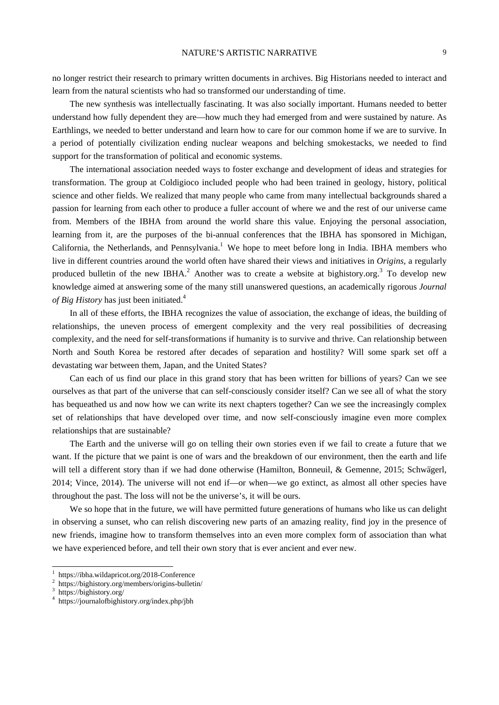no longer restrict their research to primary written documents in archives. Big Historians needed to interact and learn from the natural scientists who had so transformed our understanding of time.

The new synthesis was intellectually fascinating. It was also socially important. Humans needed to better understand how fully dependent they are—how much they had emerged from and were sustained by nature. As Earthlings, we needed to better understand and learn how to care for our common home if we are to survive. In a period of potentially civilization ending nuclear weapons and belching smokestacks, we needed to find support for the transformation of political and economic systems.

The international association needed ways to foster exchange and development of ideas and strategies for transformation. The group at Coldigioco included people who had been trained in geology, history, political science and other fields. We realized that many people who came from many intellectual backgrounds shared a passion for learning from each other to produce a fuller account of where we and the rest of our universe came from. Members of the IBHA from around the world share this value. Enjoying the personal association, learning from it, are the purposes of the bi-annual conferences that the IBHA has sponsored in Michigan, California, the Netherlands, and Pennsylvania.<sup>1</sup> We hope to meet before long in India. IBHA members who live in different countries around the world often have shared their views and initiatives in *Origins*, a regularly produced bulletin of the new IBHA.<sup>2</sup> Another was to create a website at bighistory.org.<sup>3</sup> To develop new knowledge aimed at answering some of the many still unanswered questions, an academically rigorous *Journal of Big History* has just been initiated.<sup>4</sup>

In all of these efforts, the IBHA recognizes the value of association, the exchange of ideas, the building of relationships, the uneven process of emergent complexity and the very real possibilities of decreasing complexity, and the need for self-transformations if humanity is to survive and thrive. Can relationship between North and South Korea be restored after decades of separation and hostility? Will some spark set off a devastating war between them, Japan, and the United States?

Can each of us find our place in this grand story that has been written for billions of years? Can we see ourselves as that part of the universe that can self-consciously consider itself? Can we see all of what the story has bequeathed us and now how we can write its next chapters together? Can we see the increasingly complex set of relationships that have developed over time, and now self-consciously imagine even more complex relationships that are sustainable?

The Earth and the universe will go on telling their own stories even if we fail to create a future that we want. If the picture that we paint is one of wars and the breakdown of our environment, then the earth and life will tell a different story than if we had done otherwise (Hamilton, Bonneuil, & Gemenne, 2015; Schwägerl, 2014; Vince, 2014). The universe will not end if—or when—we go extinct, as almost all other species have throughout the past. The loss will not be the universe's, it will be ours.

We so hope that in the future, we will have permitted future generations of humans who like us can delight in observing a sunset, who can relish discovering new parts of an amazing reality, find joy in the presence of new friends, imagine how to transform themselves into an even more complex form of association than what we have experienced before, and tell their own story that is ever ancient and ever new.

 $\overline{a}$ 

<sup>1</sup> https://ibha.wildapricot.org/2018-Conference

<sup>2</sup> https://bighistory.org/members/origins-bulletin/

<sup>3</sup> https://bighistory.org/

<sup>4</sup> https://journalofbighistory.org/index.php/jbh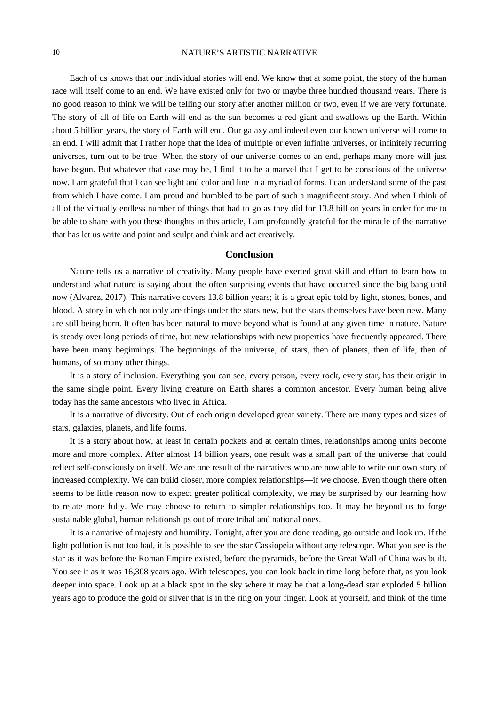Each of us knows that our individual stories will end. We know that at some point, the story of the human race will itself come to an end. We have existed only for two or maybe three hundred thousand years. There is no good reason to think we will be telling our story after another million or two, even if we are very fortunate. The story of all of life on Earth will end as the sun becomes a red giant and swallows up the Earth. Within about 5 billion years, the story of Earth will end. Our galaxy and indeed even our known universe will come to an end. I will admit that I rather hope that the idea of multiple or even infinite universes, or infinitely recurring universes, turn out to be true. When the story of our universe comes to an end, perhaps many more will just have begun. But whatever that case may be, I find it to be a marvel that I get to be conscious of the universe now. I am grateful that I can see light and color and line in a myriad of forms. I can understand some of the past from which I have come. I am proud and humbled to be part of such a magnificent story. And when I think of all of the virtually endless number of things that had to go as they did for 13.8 billion years in order for me to be able to share with you these thoughts in this article, I am profoundly grateful for the miracle of the narrative that has let us write and paint and sculpt and think and act creatively.

# **Conclusion**

Nature tells us a narrative of creativity. Many people have exerted great skill and effort to learn how to understand what nature is saying about the often surprising events that have occurred since the big bang until now (Alvarez, 2017). This narrative covers 13.8 billion years; it is a great epic told by light, stones, bones, and blood. A story in which not only are things under the stars new, but the stars themselves have been new. Many are still being born. It often has been natural to move beyond what is found at any given time in nature. Nature is steady over long periods of time, but new relationships with new properties have frequently appeared. There have been many beginnings. The beginnings of the universe, of stars, then of planets, then of life, then of humans, of so many other things.

It is a story of inclusion. Everything you can see, every person, every rock, every star, has their origin in the same single point. Every living creature on Earth shares a common ancestor. Every human being alive today has the same ancestors who lived in Africa.

It is a narrative of diversity. Out of each origin developed great variety. There are many types and sizes of stars, galaxies, planets, and life forms.

It is a story about how, at least in certain pockets and at certain times, relationships among units become more and more complex. After almost 14 billion years, one result was a small part of the universe that could reflect self-consciously on itself. We are one result of the narratives who are now able to write our own story of increased complexity. We can build closer, more complex relationships—if we choose. Even though there often seems to be little reason now to expect greater political complexity, we may be surprised by our learning how to relate more fully. We may choose to return to simpler relationships too. It may be beyond us to forge sustainable global, human relationships out of more tribal and national ones.

It is a narrative of majesty and humility. Tonight, after you are done reading, go outside and look up. If the light pollution is not too bad, it is possible to see the star Cassiopeia without any telescope. What you see is the star as it was before the Roman Empire existed, before the pyramids, before the Great Wall of China was built. You see it as it was 16,308 years ago. With telescopes, you can look back in time long before that, as you look deeper into space. Look up at a black spot in the sky where it may be that a long-dead star exploded 5 billion years ago to produce the gold or silver that is in the ring on your finger. Look at yourself, and think of the time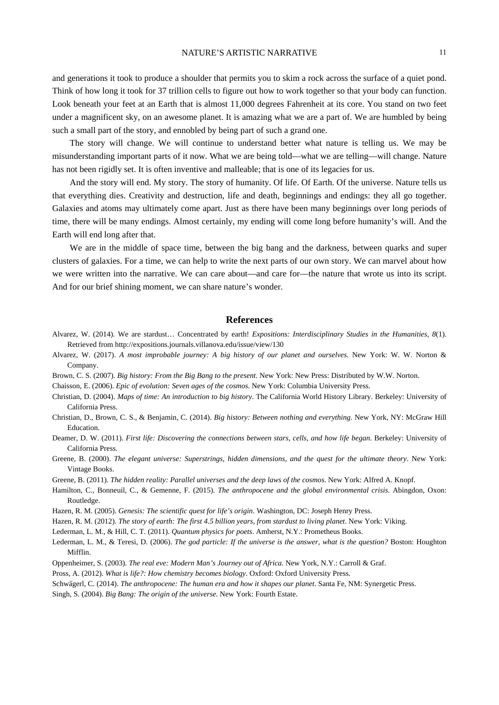and generations it took to produce a shoulder that permits you to skim a rock across the surface of a quiet pond. Think of how long it took for 37 trillion cells to figure out how to work together so that your body can function. Look beneath your feet at an Earth that is almost 11,000 degrees Fahrenheit at its core. You stand on two feet under a magnificent sky, on an awesome planet. It is amazing what we are a part of. We are humbled by being such a small part of the story, and ennobled by being part of such a grand one.

The story will change. We will continue to understand better what nature is telling us. We may be misunderstanding important parts of it now. What we are being told—what we are telling—will change. Nature has not been rigidly set. It is often inventive and malleable; that is one of its legacies for us.

And the story will end. My story. The story of humanity. Of life. Of Earth. Of the universe. Nature tells us that everything dies. Creativity and destruction, life and death, beginnings and endings: they all go together. Galaxies and atoms may ultimately come apart. Just as there have been many beginnings over long periods of time, there will be many endings. Almost certainly, my ending will come long before humanity's will. And the Earth will end long after that.

We are in the middle of space time, between the big bang and the darkness, between quarks and super clusters of galaxies. For a time, we can help to write the next parts of our own story. We can marvel about how we were written into the narrative. We can care about—and care for—the nature that wrote us into its script. And for our brief shining moment, we can share nature's wonder.

#### **References**

- Alvarez, W. (2014). We are stardust… Concentrated by earth! *Expositions: Interdisciplinary Studies in the Humanities, 8*(1). Retrieved from http://expositions.journals.villanova.edu/issue/view/130
- Alvarez, W. (2017). *A most improbable journey: A big history of our planet and ourselves*. New York: W. W. Norton & Company.
- Brown, C. S. (2007). *Big history: From the Big Bang to the present*. New York: New Press: Distributed by W.W. Norton.

Chaisson, E. (2006). *Epic of evolution: Seven ages of the cosmos*. New York: Columbia University Press.

- Christian, D. (2004). *Maps of time: An introduction to big history*. The California World History Library. Berkeley: University of California Press.
- Christian, D., Brown, C. S., & Benjamin, C. (2014). *Big history: Between nothing and everything*. New York, NY: McGraw Hill Education.
- Deamer, D. W. (2011). *First life: Discovering the connections between stars, cells, and how life began*. Berkeley: University of California Press.
- Greene, B. (2000). *The elegant universe: Superstrings, hidden dimensions, and the quest for the ultimate theory*. New York: Vintage Books.
- Greene, B. (2011). *The hidden reality: Parallel universes and the deep laws of the cosmos*. New York: Alfred A. Knopf.
- Hamilton, C., Bonneuil, C., & Gemenne, F. (2015). *The anthropocene and the global environmental crisis*. Abingdon, Oxon: Routledge.
- Hazen, R. M. (2005). *Genesis: The scientific quest for life's origin*. Washington, DC: Joseph Henry Press.
- Hazen, R. M. (2012). *The story of earth: The first 4.5 billion years, from stardust to living planet*. New York: Viking.
- Lederman, L. M., & Hill, C. T. (2011). *Quantum physics for poets*. Amherst, N.Y.: Prometheus Books.
- Lederman, L. M., & Teresi, D. (2006). *The god particle: If the universe is the answer, what is the question?* Boston: Houghton Mifflin.
- Oppenheimer, S. (2003). *The real eve: Modern Man's Journey out of Africa*. New York, N.Y.: Carroll & Graf.
- Pross, A. (2012). *What is life?: How chemistry becomes biology*. Oxford: Oxford University Press.
- Schwägerl, C. (2014). *The anthropocene: The human era and how it shapes our planet*. Santa Fe, NM: Synergetic Press.
- Singh, S. (2004). *Big Bang: The origin of the universe*. New York: Fourth Estate.